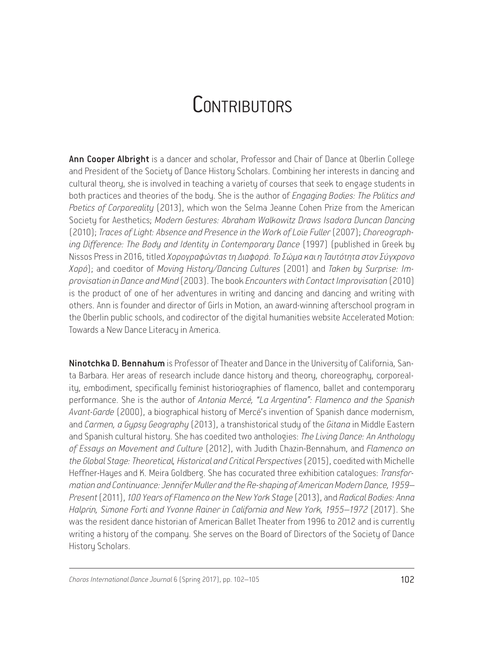## **CONTRIBUTORS**

Ann Cooper Albright is a dancer and scholar, Professor and Chair of Dance at Oberlin College and President of the Society of Dance History Scholars. Combining her interests in dancing and cultural theory, she is involved in teaching a variety of courses that seek to engage students in both practices and theories of the body. She is the author of *Engaging Bodies: The Politics and Poetics of Corporeality* (2013), which won the Selma Jeanne Cohen Prize from the American Society for Aesthetics; *Modern Gestures: Abraham Walkowitz Draws Isadora Duncan Dancing* (2010); *Traces of Light: Absence and Presence in the Work of Loïe Fuller* (2007); *Choreographing Difference: Τhe Body and Identity in Contemporary Dance* (1997) (published in Greek by Nissos Press in 2016, titled *Χορογραφώντας τη Διαφορά. Το Σώμα και η Ταυτότητα στον Σύγχρονο Χορό*); and coeditor of *Moving History/Dancing Cultures* (2001) and *Taken by Surprise: Improvisation in Dance and Mind* (2003). The book *Encounters with Contact Improvisation* (2010) is the product of one of her adventures in writing and dancing and dancing and writing with others. Ann is founder and director of Girls in Motion, an award-winning afterschool program in the Oberlin public schools, and codirector of the digital humanities website Accelerated Motion: Towards a New Dance Literacy in America.

Ninotchka D. Bennahum is Professor of Theater and Dance in the University of California, Santa Barbara. Her areas of research include dance history and theory, choreography, corporeality, embodiment, specifically feminist historiographies of flamenco, ballet and contemporary performance. She is the author of *Antonia Mercé, "La Argentina": Flamenco and the Spanish Avant-Garde* (2000), a biographical history of Mercé's invention of Spanish dance modernism, and *Carmen, a Gypsy Geography* (2013), a transhistorical study of the *Gitana* in Middle Eastern and Spanish cultural history. She has coedited two anthologies: *The Living Dance: An Anthology of Essays on Movement and Culture* (2012), with Judith Chazin-Bennahum, and *Flamenco on the Global Stage: Theoretical, Historical and Critical Perspectives* (2015), coedited with Michelle Heffner-Hayes and K. Meira Goldberg. She has cocurated three exhibition catalogues: *Transformation and Continuance:Jennifer Muller and the Re*-*shaping of American Modern Dance, 1959– Present* (2011), *100 Years of Flamenco on the New York Stage* (2013), and *Radical Bodies: Anna Halprin, Simone Forti and Yvonne Rainer in California and New York, 1955–1972* (2017). She was the resident dance historian of American Ballet Theater from 1996 to 2012 and is currently writing a history of the company. She serves on the Board of Directors of the Society of Dance History Scholars.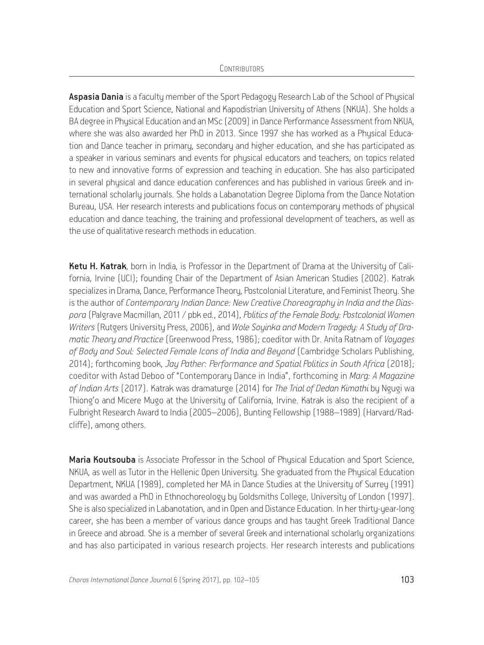Aspasia Dania is a faculty member of the Sport Pedagogy Research Lab of the School of Physical Education and Sport Science, National and Kapodistrian University of Athens (NKUA). She holds a BA degree in Phusical Education and an MSc (2009) in Dance Performance Assessment from NKUA, where she was also awarded her PhD in 2013. Since 1997 she has worked as a Physical Education and Dance teacher in primary, secondary and higher education, and she has participated as a speaker in various seminars and events for phusical educators and teachers, on topics related to new and innovative forms of expression and teaching in education. She has also participated in several phusical and dance education conferences and has published in various Greek and international scholarly journals. She holds a Labanotation Degree Diploma from the Dance Notation Bureau, USA. Her research interests and publications focus on contemporary methods of physical education and dance teaching, the training and professional development of teachers, as well as the use of qualitative research methods in education.

Ketu H. Katrak, born in India, is Professor in the Department of Drama at the University of California, Irvine (UCI); founding Chair of the Department of Asian American Studies (2002). Katrak specializes in Drama, Dance, Performance Theory, Postcolonial Literature, and Feminist Theory. She is the author of *Contemporary Indian Dance: New Creative Choreography in India and the Diaspora* (Palgrave Macmillan, 2011 / pbk ed., 2014), *Politics of the Female Body: Postcolonial Women Writers* (Rutgers University Press, 2006), and *Wole Soyinka and Modern Tragedy: A Study of Dramatic Theory and Practice* (Greenwood Press, 1986); coeditor with Dr. Anita Ratnam of *Voyages of Body and Soul: Selected Female Icons of India and Beyond* (Cambridge Scholars Publishing, 2014); forthcoming book, *Jay Pather: Performance and Spatial Politics in South Africa* (2018); coeditor with Astad Deboo of "Contemporary Dance in India", forthcoming in *Marg: A Magazine of Indian Arts* (2017). Katrak was dramaturge (2014) for *The Trial of Dedan Kimathi* by Ngugi wa Thiong'o and Micere Mugo at the University of California, Irvine. Katrak is also the recipient of a Fulbright Research Award to India (2005–2006), Bunting Fellowship (1988–1989) (Harvard/Radcliffe), among others.

Maria Koutsouba is Associate Professor in the School of Physical Education and Sport Science, NKUA, as well as Tutor in the Hellenic Open University. She graduated from the Phusical Education Department, NKUA (1989), completed her MA in Dance Studies at the University of Surrey (1991) and was awarded a PhD in Ethnochoreology by Goldsmiths College, University of London (1997). She is also specialized in Labanotation, and in Open and Distance Education. In her thirty-year-long career, she has been a member of various dance groups and has taught Greek Traditional Dance in Greece and abroad. She is a member of several Greek and international scholarly organizations and has also participated in various research projects. Her research interests and publications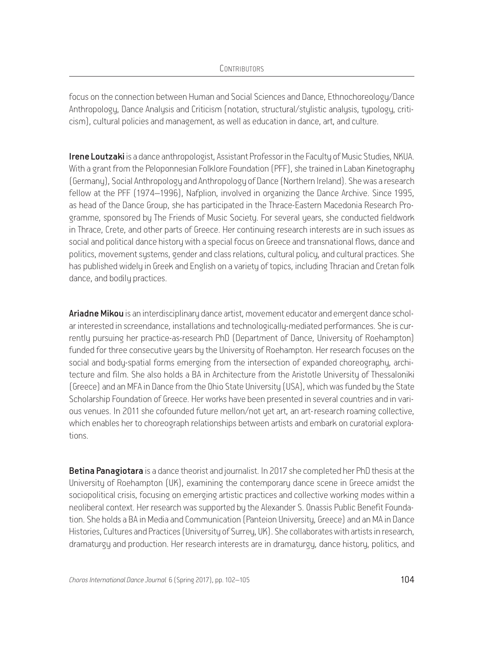focus on the connection between Human and Social Sciences and Dance, Ethnochoreology/Dance Anthropology, Dance Analysis and Criticism (notation, structural/stylistic analysis, typology, criticism), cultural policies and management, as well as education in dance, art, and culture.

**Irene Loutzaki** is a dance anthropologist, Assistant Professor in the Facultu of Music Studies, NKUA. With a grant from the Peloponnesian Folklore Foundation (PFF), she trained in Laban Kinetography (Germany), Social Anthropology and Anthropology of Dance (Northern Ireland). She was a research fellow at the PFF (1974–1996), Nafplion, involved in organizing the Dance Archive. Since 1995, as head of the Dance Group, she has participated in the Thrace-Eastern Macedonia Research Programme, sponsored by The Friends of Music Society. For several years, she conducted fieldwork in Thrace, Crete, and other parts of Greece. Her continuing research interests are in such issues as social and political dance history with a special focus on Greece and transnational flows, dance and politics, movement systems, gender and class relations, cultural policy, and cultural practices. She has published widely in Greek and English on a variety of topics, including Thracian and Cretan folk dance, and bodily practices.

Ariadne Mikou is an interdisciplinary dance artist, movement educator and emergent dance scholar interested in screendance, installations and technologically-mediated performances. She is currently pursuing her practice-as-research PhD (Department of Dance, University of Roehampton) funded for three consecutive years by the University of Roehampton. Her research focuses on the social and body-spatial forms emerging from the intersection of expanded choreography, architecture and film. She also holds a BA in Architecture from the Aristotle University of Thessaloniki (Greece) and an MFA in Dance from the Ohio State University (USA), which was funded by the State Scholarship Foundation of Greece. Her works have been presented in several countries and in various venues. In 2011 she cofounded future mellon/not yet art, an art-research roaming collective, which enables her to choreograph relationships between artists and embark on curatorial explorations.

Betina Panagiotara is a dance theorist and journalist. In 2017 she completed her PhD thesis at the University of Roehampton (UK), examining the contemporary dance scene in Greece amidst the sociopolitical crisis, focusing on emerging artistic practices and collective working modes within a neoliberal context. Her research was supported by the Alexander S. Onassis Public Benefit Foundation. She holds a BA in Media and Communication (Panteion University, Greece) and an MA in Dance Histories, Cultures and Practices (University of Surrey, UK). She collaborates with artists in research, dramaturgy and production. Her research interests are in dramaturgy, dance history, politics, and